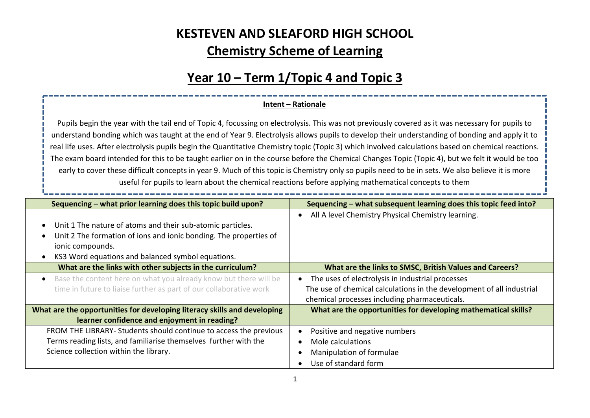# **KESTEVEN AND SLEAFORD HIGH SCHOOL Chemistry Scheme of Learning**

#### **Year 10 – Term 1/Topic 4 and Topic 3**

#### **Intent – Rationale**

Pupils begin the year with the tail end of Topic 4, focussing on electrolysis. This was not previously covered as it was necessary for pupils to understand bonding which was taught at the end of Year 9. Electrolysis allows pupils to develop their understanding of bonding and apply it to real life uses. After electrolysis pupils begin the Quantitative Chemistry topic (Topic 3) which involved calculations based on chemical reactions. The exam board intended for this to be taught earlier on in the course before the Chemical Changes Topic (Topic 4), but we felt it would be too early to cover these difficult concepts in year 9. Much of this topic is Chemistry only so pupils need to be in sets. We also believe it is more useful for pupils to learn about the chemical reactions before applying mathematical concepts to them

| Sequencing – what prior learning does this topic build upon?                                                                                                                                             | Sequencing – what subsequent learning does this topic feed into?                                                                                                           |
|----------------------------------------------------------------------------------------------------------------------------------------------------------------------------------------------------------|----------------------------------------------------------------------------------------------------------------------------------------------------------------------------|
| Unit 1 The nature of atoms and their sub-atomic particles.<br>Unit 2 The formation of ions and ionic bonding. The properties of<br>ionic compounds.<br>KS3 Word equations and balanced symbol equations. | All A level Chemistry Physical Chemistry learning.<br>$\bullet$                                                                                                            |
| What are the links with other subjects in the curriculum?                                                                                                                                                | What are the links to SMSC, British Values and Careers?                                                                                                                    |
| Base the content here on what you already know but there will be<br>$\bullet$<br>time in future to liaise further as part of our collaborative work                                                      | The uses of electrolysis in industrial processes<br>The use of chemical calculations in the development of all industrial<br>chemical processes including pharmaceuticals. |
| What are the opportunities for developing literacy skills and developing<br>learner confidence and enjoyment in reading?                                                                                 | What are the opportunities for developing mathematical skills?                                                                                                             |
| FROM THE LIBRARY- Students should continue to access the previous<br>Terms reading lists, and familiarise themselves further with the<br>Science collection within the library.                          | Positive and negative numbers<br>٠<br>Mole calculations<br>Manipulation of formulae<br>Use of standard form                                                                |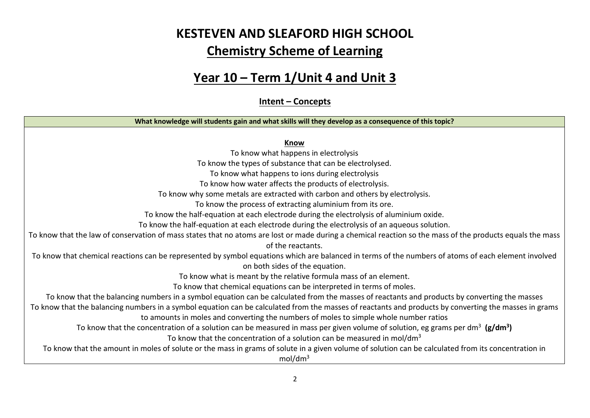### **KESTEVEN AND SLEAFORD HIGH SCHOOL Chemistry Scheme of Learning**

#### **Year 10 – Term 1/Unit 4 and Unit 3**

#### **Intent – Concepts**

#### **What knowledge will students gain and what skills will they develop as a consequence of this topic?**

#### **Know**

To know what happens in electrolysis

To know the types of substance that can be electrolysed.

To know what happens to ions during electrolysis

To know how water affects the products of electrolysis.

To know why some metals are extracted with carbon and others by electrolysis.

To know the process of extracting aluminium from its ore.

To know the half-equation at each electrode during the electrolysis of aluminium oxide.

To know the half-equation at each electrode during the electrolysis of an aqueous solution.

To know that the law of conservation of mass states that no atoms are lost or made during a chemical reaction so the mass of the products equals the mass

of the reactants.

To know that chemical reactions can be represented by symbol equations which are balanced in terms of the numbers of atoms of each element involved on both sides of the equation.

To know what is meant by the relative formula mass of an element.

To know that chemical equations can be interpreted in terms of moles.

To know that the balancing numbers in a symbol equation can be calculated from the masses of reactants and products by converting the masses

To know that the balancing numbers in a symbol equation can be calculated from the masses of reactants and products by converting the masses in grams to amounts in moles and converting the numbers of moles to simple whole number ratios

To know that the concentration of a solution can be measured in mass per given volume of solution, eg grams per dm<sup>3</sup> (g/dm<sup>3</sup>)

To know that the concentration of a solution can be measured in mol/dm3

To know that the amount in moles of solute or the mass in grams of solute in a given volume of solution can be calculated from its concentration in

mol/dm3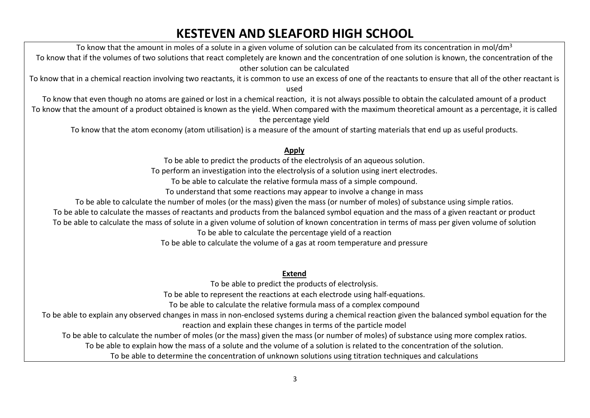To know that the amount in moles of a solute in a given volume of solution can be calculated from its concentration in mol/dm<sup>3</sup> To know that if the volumes of two solutions that react completely are known and the concentration of one solution is known, the concentration of the other solution can be calculated

To know that in a chemical reaction involving two reactants, it is common to use an excess of one of the reactants to ensure that all of the other reactant is used

To know that even though no atoms are gained or lost in a chemical reaction, it is not always possible to obtain the calculated amount of a product To know that the amount of a product obtained is known as the yield. When compared with the maximum theoretical amount as a percentage, it is called the percentage yield

To know that the atom economy (atom utilisation) is a measure of the amount of starting materials that end up as useful products.

#### **Apply**

To be able to predict the products of the electrolysis of an aqueous solution. To perform an investigation into the electrolysis of a solution using inert electrodes. To be able to calculate the relative formula mass of a simple compound.

To understand that some reactions may appear to involve a change in mass

To be able to calculate the number of moles (or the mass) given the mass (or number of moles) of substance using simple ratios.

To be able to calculate the masses of reactants and products from the balanced symbol equation and the mass of a given reactant or product

To be able to calculate the mass of solute in a given volume of solution of known concentration in terms of mass per given volume of solution

To be able to calculate the percentage yield of a reaction

To be able to calculate the volume of a gas at room temperature and pressure

#### **Extend**

To be able to predict the products of electrolysis.

To be able to represent the reactions at each electrode using half-equations.

To be able to calculate the relative formula mass of a complex compound

To be able to explain any observed changes in mass in non-enclosed systems during a chemical reaction given the balanced symbol equation for the reaction and explain these changes in terms of the particle model

To be able to calculate the number of moles (or the mass) given the mass (or number of moles) of substance using more complex ratios.

To be able to explain how the mass of a solute and the volume of a solution is related to the concentration of the solution.

To be able to determine the concentration of unknown solutions using titration techniques and calculations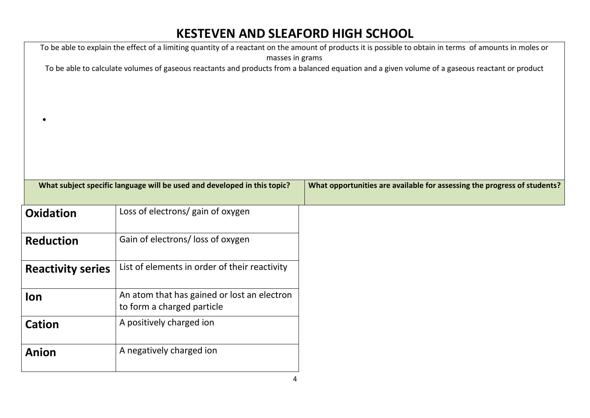#### **KESTEVEN AND SLEAFORD HIGH SCHOOL** To be able to explain the effect of a limiting quantity of a reactant on the amount of products it is possible to obtain in terms of amounts in moles or

masses in grams To be able to calculate volumes of gaseous reactants and products from a balanced equation and a given volume of a gaseous reactant or product

|                          | What subject specific language will be used and developed in this topic?  | What opportunities are available for assessing the progress of students? |
|--------------------------|---------------------------------------------------------------------------|--------------------------------------------------------------------------|
| <b>Oxidation</b>         | Loss of electrons/ gain of oxygen                                         |                                                                          |
| <b>Reduction</b>         | Gain of electrons/loss of oxygen                                          |                                                                          |
| <b>Reactivity series</b> | List of elements in order of their reactivity                             |                                                                          |
| lon                      | An atom that has gained or lost an electron<br>to form a charged particle |                                                                          |
| <b>Cation</b>            | A positively charged ion                                                  |                                                                          |
| <b>Anion</b>             | A negatively charged ion                                                  |                                                                          |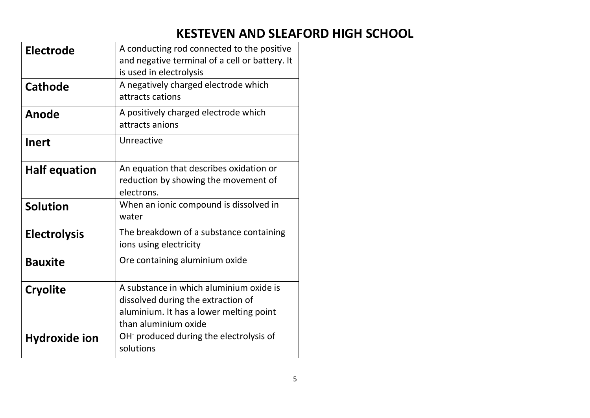| <b>Electrode</b>     | A conducting rod connected to the positive<br>and negative terminal of a cell or battery. It<br>is used in electrolysis                          |
|----------------------|--------------------------------------------------------------------------------------------------------------------------------------------------|
| <b>Cathode</b>       | A negatively charged electrode which<br>attracts cations                                                                                         |
| Anode                | A positively charged electrode which<br>attracts anions                                                                                          |
| <b>Inert</b>         | Unreactive                                                                                                                                       |
| <b>Half equation</b> | An equation that describes oxidation or<br>reduction by showing the movement of<br>electrons.                                                    |
| <b>Solution</b>      | When an ionic compound is dissolved in<br>water                                                                                                  |
| <b>Electrolysis</b>  | The breakdown of a substance containing<br>ions using electricity                                                                                |
| <b>Bauxite</b>       | Ore containing aluminium oxide                                                                                                                   |
| <b>Cryolite</b>      | A substance in which aluminium oxide is<br>dissolved during the extraction of<br>aluminium. It has a lower melting point<br>than aluminium oxide |
| Hydroxide ion        | OH produced during the electrolysis of<br>solutions                                                                                              |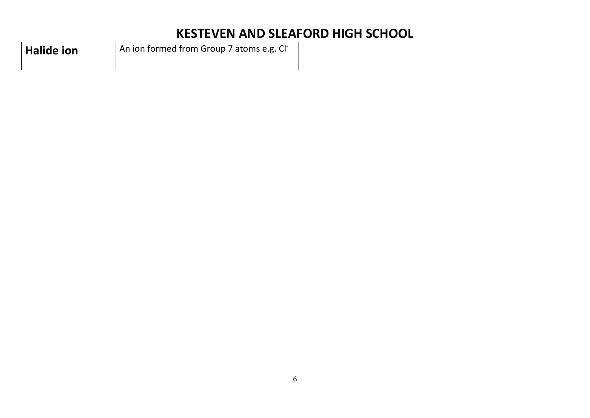| Halide ion | An ion formed from Group 7 atoms e.g. Cl |
|------------|------------------------------------------|
|            |                                          |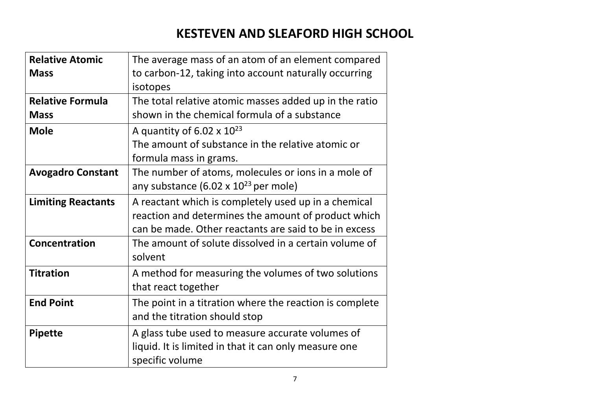| <b>Relative Atomic</b>    | The average mass of an atom of an element compared      |
|---------------------------|---------------------------------------------------------|
| <b>Mass</b>               | to carbon-12, taking into account naturally occurring   |
|                           | isotopes                                                |
| <b>Relative Formula</b>   | The total relative atomic masses added up in the ratio  |
| <b>Mass</b>               | shown in the chemical formula of a substance            |
| <b>Mole</b>               | A quantity of 6.02 x $10^{23}$                          |
|                           | The amount of substance in the relative atomic or       |
|                           | formula mass in grams.                                  |
| <b>Avogadro Constant</b>  | The number of atoms, molecules or ions in a mole of     |
|                           | any substance (6.02 x $10^{23}$ per mole)               |
| <b>Limiting Reactants</b> | A reactant which is completely used up in a chemical    |
|                           | reaction and determines the amount of product which     |
|                           | can be made. Other reactants are said to be in excess   |
| <b>Concentration</b>      | The amount of solute dissolved in a certain volume of   |
|                           | solvent                                                 |
| <b>Titration</b>          | A method for measuring the volumes of two solutions     |
|                           | that react together                                     |
| <b>End Point</b>          | The point in a titration where the reaction is complete |
|                           | and the titration should stop                           |
| <b>Pipette</b>            | A glass tube used to measure accurate volumes of        |
|                           | liquid. It is limited in that it can only measure one   |
|                           | specific volume                                         |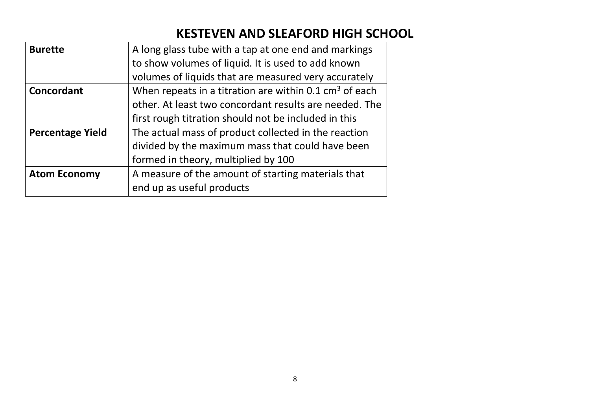| A long glass tube with a tap at one end and markings              |  |  |
|-------------------------------------------------------------------|--|--|
| to show volumes of liquid. It is used to add known                |  |  |
| volumes of liquids that are measured very accurately              |  |  |
| When repeats in a titration are within $0.1 \text{ cm}^3$ of each |  |  |
| other. At least two concordant results are needed. The            |  |  |
| first rough titration should not be included in this              |  |  |
| The actual mass of product collected in the reaction              |  |  |
| divided by the maximum mass that could have been                  |  |  |
| formed in theory, multiplied by 100                               |  |  |
| A measure of the amount of starting materials that                |  |  |
| end up as useful products                                         |  |  |
|                                                                   |  |  |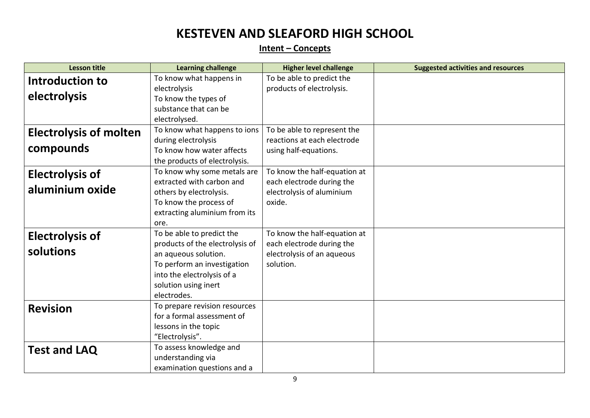#### **Intent – Concepts**

| <b>Lesson title</b>           | <b>Learning challenge</b>       | <b>Higher level challenge</b> | <b>Suggested activities and resources</b> |
|-------------------------------|---------------------------------|-------------------------------|-------------------------------------------|
| Introduction to               | To know what happens in         | To be able to predict the     |                                           |
|                               | electrolysis                    | products of electrolysis.     |                                           |
| electrolysis                  | To know the types of            |                               |                                           |
|                               | substance that can be           |                               |                                           |
|                               | electrolysed.                   |                               |                                           |
| <b>Electrolysis of molten</b> | To know what happens to ions    | To be able to represent the   |                                           |
|                               | during electrolysis             | reactions at each electrode   |                                           |
| compounds                     | To know how water affects       | using half-equations.         |                                           |
|                               | the products of electrolysis.   |                               |                                           |
| <b>Electrolysis of</b>        | To know why some metals are     | To know the half-equation at  |                                           |
|                               | extracted with carbon and       | each electrode during the     |                                           |
| aluminium oxide               | others by electrolysis.         | electrolysis of aluminium     |                                           |
|                               | To know the process of          | oxide.                        |                                           |
|                               | extracting aluminium from its   |                               |                                           |
|                               | ore.                            |                               |                                           |
| <b>Electrolysis of</b>        | To be able to predict the       | To know the half-equation at  |                                           |
| solutions                     | products of the electrolysis of | each electrode during the     |                                           |
|                               | an aqueous solution.            | electrolysis of an aqueous    |                                           |
|                               | To perform an investigation     | solution.                     |                                           |
|                               | into the electrolysis of a      |                               |                                           |
|                               | solution using inert            |                               |                                           |
|                               | electrodes.                     |                               |                                           |
| <b>Revision</b>               | To prepare revision resources   |                               |                                           |
|                               | for a formal assessment of      |                               |                                           |
|                               | lessons in the topic            |                               |                                           |
|                               | "Electrolysis".                 |                               |                                           |
| <b>Test and LAQ</b>           | To assess knowledge and         |                               |                                           |
|                               | understanding via               |                               |                                           |
|                               | examination questions and a     |                               |                                           |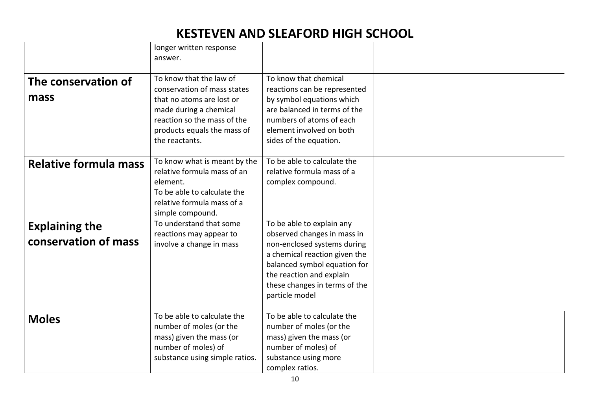|                              | longer written response        |                               |  |
|------------------------------|--------------------------------|-------------------------------|--|
|                              | answer.                        |                               |  |
|                              |                                |                               |  |
| The conservation of          | To know that the law of        | To know that chemical         |  |
|                              | conservation of mass states    | reactions can be represented  |  |
| mass                         | that no atoms are lost or      | by symbol equations which     |  |
|                              | made during a chemical         | are balanced in terms of the  |  |
|                              | reaction so the mass of the    | numbers of atoms of each      |  |
|                              | products equals the mass of    | element involved on both      |  |
|                              | the reactants.                 | sides of the equation.        |  |
|                              |                                |                               |  |
| <b>Relative formula mass</b> | To know what is meant by the   | To be able to calculate the   |  |
|                              | relative formula mass of an    | relative formula mass of a    |  |
|                              | element.                       | complex compound.             |  |
|                              | To be able to calculate the    |                               |  |
|                              | relative formula mass of a     |                               |  |
|                              | simple compound.               |                               |  |
| <b>Explaining the</b>        | To understand that some        | To be able to explain any     |  |
|                              | reactions may appear to        | observed changes in mass in   |  |
| conservation of mass         | involve a change in mass       | non-enclosed systems during   |  |
|                              |                                | a chemical reaction given the |  |
|                              |                                | balanced symbol equation for  |  |
|                              |                                | the reaction and explain      |  |
|                              |                                | these changes in terms of the |  |
|                              |                                | particle model                |  |
|                              |                                |                               |  |
| <b>Moles</b>                 | To be able to calculate the    | To be able to calculate the   |  |
|                              | number of moles (or the        | number of moles (or the       |  |
|                              | mass) given the mass (or       | mass) given the mass (or      |  |
|                              | number of moles) of            | number of moles) of           |  |
|                              | substance using simple ratios. | substance using more          |  |
|                              |                                | complex ratios.               |  |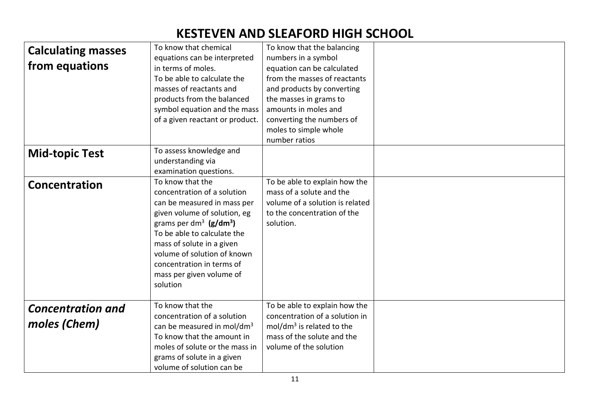| <b>Calculating masses</b> | To know that chemical                  | To know that the balancing      |  |
|---------------------------|----------------------------------------|---------------------------------|--|
|                           | equations can be interpreted           | numbers in a symbol             |  |
| from equations            | in terms of moles.                     | equation can be calculated      |  |
|                           | To be able to calculate the            | from the masses of reactants    |  |
|                           | masses of reactants and                | and products by converting      |  |
|                           | products from the balanced             | the masses in grams to          |  |
|                           | symbol equation and the mass           | amounts in moles and            |  |
|                           | of a given reactant or product.        | converting the numbers of       |  |
|                           |                                        | moles to simple whole           |  |
|                           |                                        | number ratios                   |  |
| <b>Mid-topic Test</b>     | To assess knowledge and                |                                 |  |
|                           | understanding via                      |                                 |  |
|                           | examination questions.                 |                                 |  |
| Concentration             | To know that the                       | To be able to explain how the   |  |
|                           | concentration of a solution            | mass of a solute and the        |  |
|                           | can be measured in mass per            | volume of a solution is related |  |
|                           | given volume of solution, eg           | to the concentration of the     |  |
|                           | grams per dm <sup>3</sup> ( $g/dm3$ )  | solution.                       |  |
|                           | To be able to calculate the            |                                 |  |
|                           | mass of solute in a given              |                                 |  |
|                           | volume of solution of known            |                                 |  |
|                           | concentration in terms of              |                                 |  |
|                           | mass per given volume of               |                                 |  |
|                           | solution                               |                                 |  |
|                           |                                        |                                 |  |
| <b>Concentration and</b>  | To know that the                       | To be able to explain how the   |  |
|                           | concentration of a solution            | concentration of a solution in  |  |
| moles (Chem)              | can be measured in mol/dm <sup>3</sup> | $mol/dm3$ is related to the     |  |
|                           | To know that the amount in             | mass of the solute and the      |  |
|                           | moles of solute or the mass in         | volume of the solution          |  |
|                           | grams of solute in a given             |                                 |  |
|                           | volume of solution can be              |                                 |  |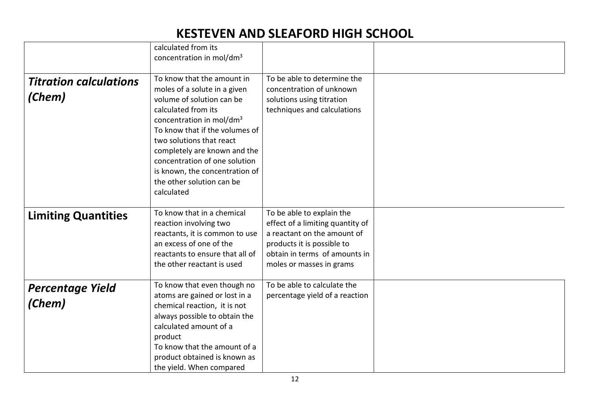|                                         | calculated from its<br>concentration in mol/dm <sup>3</sup>                                                                                                                                                                                                                                                                                                        |                                                                                                                                                                                         |  |
|-----------------------------------------|--------------------------------------------------------------------------------------------------------------------------------------------------------------------------------------------------------------------------------------------------------------------------------------------------------------------------------------------------------------------|-----------------------------------------------------------------------------------------------------------------------------------------------------------------------------------------|--|
| <b>Titration calculations</b><br>(Chem) | To know that the amount in<br>moles of a solute in a given<br>volume of solution can be<br>calculated from its<br>concentration in mol/dm <sup>3</sup><br>To know that if the volumes of<br>two solutions that react<br>completely are known and the<br>concentration of one solution<br>is known, the concentration of<br>the other solution can be<br>calculated | To be able to determine the<br>concentration of unknown<br>solutions using titration<br>techniques and calculations                                                                     |  |
| <b>Limiting Quantities</b>              | To know that in a chemical<br>reaction involving two<br>reactants, it is common to use<br>an excess of one of the<br>reactants to ensure that all of<br>the other reactant is used                                                                                                                                                                                 | To be able to explain the<br>effect of a limiting quantity of<br>a reactant on the amount of<br>products it is possible to<br>obtain in terms of amounts in<br>moles or masses in grams |  |
| <b>Percentage Yield</b><br>(Chem)       | To know that even though no<br>atoms are gained or lost in a<br>chemical reaction, it is not<br>always possible to obtain the<br>calculated amount of a<br>product<br>To know that the amount of a<br>product obtained is known as<br>the yield. When compared                                                                                                     | To be able to calculate the<br>percentage yield of a reaction                                                                                                                           |  |